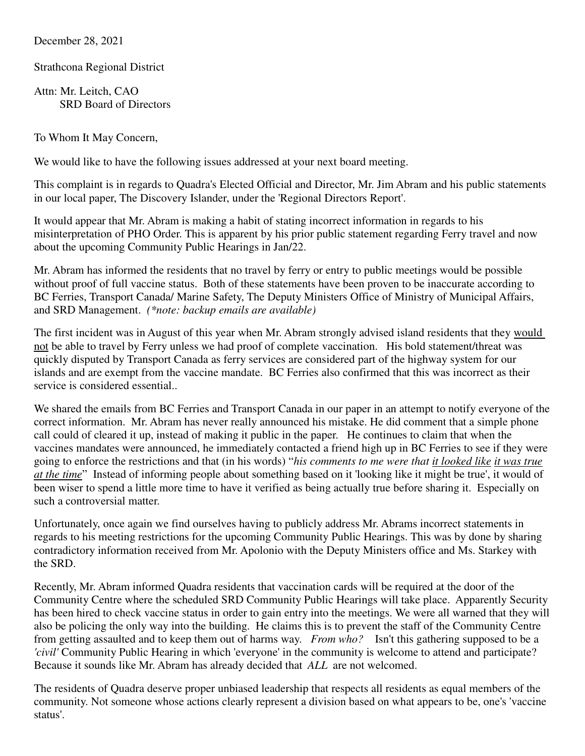December 28, 2021

Strathcona Regional District

Attn: Mr. Leitch, CAO SRD Board of Directors

To Whom It May Concern,

We would like to have the following issues addressed at your next board meeting.

This complaint is in regards to Quadra's Elected Official and Director, Mr. Jim Abram and his public statements in our local paper, The Discovery Islander, under the 'Regional Directors Report'.

It would appear that Mr. Abram is making a habit of stating incorrect information in regards to his misinterpretation of PHO Order. This is apparent by his prior public statement regarding Ferry travel and now about the upcoming Community Public Hearings in Jan/22.

Mr. Abram has informed the residents that no travel by ferry or entry to public meetings would be possible without proof of full vaccine status. Both of these statements have been proven to be inaccurate according to BC Ferries, Transport Canada/ Marine Safety, The Deputy Ministers Office of Ministry of Municipal Affairs, and SRD Management. *(\*note: backup emails are available)* 

The first incident was in August of this year when Mr. Abram strongly advised island residents that they would not be able to travel by Ferry unless we had proof of complete vaccination. His bold statement/threat was quickly disputed by Transport Canada as ferry services are considered part of the highway system for our islands and are exempt from the vaccine mandate. BC Ferries also confirmed that this was incorrect as their service is considered essential..

We shared the emails from BC Ferries and Transport Canada in our paper in an attempt to notify everyone of the correct information. Mr. Abram has never really announced his mistake. He did comment that a simple phone call could of cleared it up, instead of making it public in the paper. He continues to claim that when the vaccines mandates were announced, he immediately contacted a friend high up in BC Ferries to see if they were going to enforce the restrictions and that (in his words) "*his comments to me were that it looked like it was true at the time*" Instead of informing people about something based on it 'looking like it might be true', it would of been wiser to spend a little more time to have it verified as being actually true before sharing it. Especially on such a controversial matter.

Unfortunately, once again we find ourselves having to publicly address Mr. Abrams incorrect statements in regards to his meeting restrictions for the upcoming Community Public Hearings. This was by done by sharing contradictory information received from Mr. Apolonio with the Deputy Ministers office and Ms. Starkey with the SRD.

Recently, Mr. Abram informed Quadra residents that vaccination cards will be required at the door of the Community Centre where the scheduled SRD Community Public Hearings will take place. Apparently Security has been hired to check vaccine status in order to gain entry into the meetings. We were all warned that they will also be policing the only way into the building. He claims this is to prevent the staff of the Community Centre from getting assaulted and to keep them out of harms way. *From who?* Isn't this gathering supposed to be a *'civil'* Community Public Hearing in which 'everyone' in the community is welcome to attend and participate? Because it sounds like Mr. Abram has already decided that *ALL* are not welcomed.

The residents of Quadra deserve proper unbiased leadership that respects all residents as equal members of the community. Not someone whose actions clearly represent a division based on what appears to be, one's 'vaccine status'.